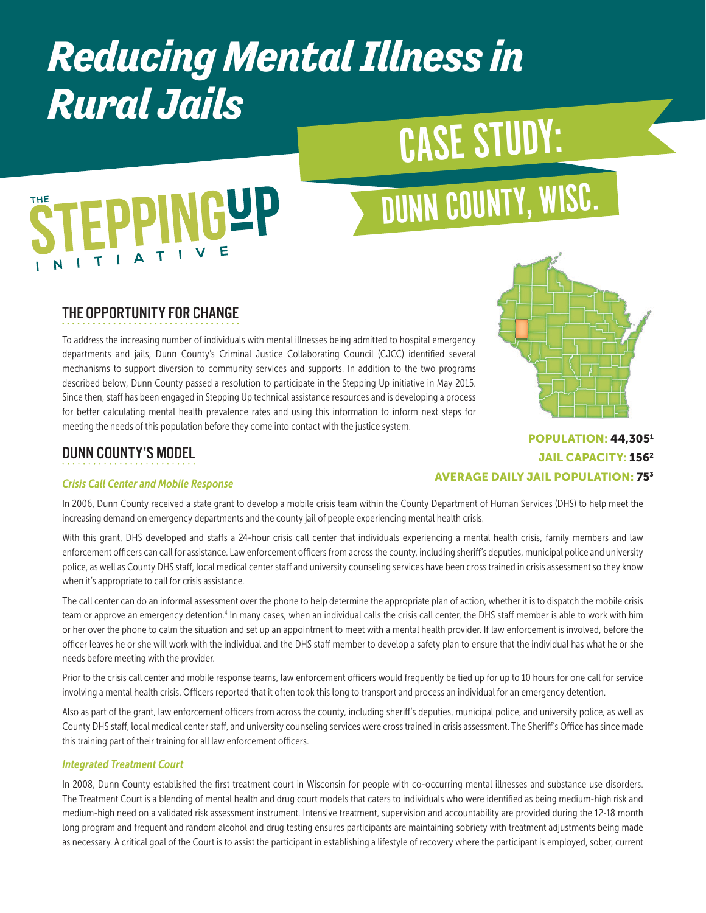# *Reducing Mental Illness in Rural Jails*

# CASE STUDY:

# **PPINGUP**

# DUNN COUNTY, WISC.

## THE OPPORTUNITY FOR CHANGE

To address the increasing number of individuals with mental illnesses being admitted to hospital emergency departments and jails, Dunn County's Criminal Justice Collaborating Council (CJCC) identified several mechanisms to support diversion to community services and supports. In addition to the two programs described below, Dunn County passed a resolution to participate in the Stepping Up initiative in May 2015. Since then, staff has been engaged in Stepping Up technical assistance resources and is developing a process for better calculating mental health prevalence rates and using this information to inform next steps for meeting the needs of this population before they come into contact with the justice system.



POPULATION: 44,3051

## DUNN COUNTY'S MODEL

#### **JAIL CAPACITY: 156<sup>2</sup>** AVERAGE DAILY JAIL POPULATION: 753

#### *Crisis Call Center and Mobile Response*

In 2006, Dunn County received a state grant to develop a mobile crisis team within the County Department of Human Services (DHS) to help meet the increasing demand on emergency departments and the county jail of people experiencing mental health crisis.

With this grant, DHS developed and staffs a 24-hour crisis call center that individuals experiencing a mental health crisis, family members and law enforcement officers can call for assistance. Law enforcement officers from across the county, including sheriff's deputies, municipal police and university police, as well as County DHS staff, local medical center staff and university counseling services have been cross trained in crisis assessment so they know when it's appropriate to call for crisis assistance.

The call center can do an informal assessment over the phone to help determine the appropriate plan of action, whether it is to dispatch the mobile crisis team or approve an emergency detention.<sup>4</sup> In many cases, when an individual calls the crisis call center, the DHS staff member is able to work with him or her over the phone to calm the situation and set up an appointment to meet with a mental health provider. If law enforcement is involved, before the officer leaves he or she will work with the individual and the DHS staff member to develop a safety plan to ensure that the individual has what he or she needs before meeting with the provider.

Prior to the crisis call center and mobile response teams, law enforcement officers would frequently be tied up for up to 10 hours for one call for service involving a mental health crisis. Officers reported that it often took this long to transport and process an individual for an emergency detention.

Also as part of the grant, law enforcement officers from across the county, including sheriff's deputies, municipal police, and university police, as well as County DHS staff, local medical center staff, and university counseling services were cross trained in crisis assessment. The Sheriff's Office has since made this training part of their training for all law enforcement officers.

#### *Integrated Treatment Court*

In 2008, Dunn County established the first treatment court in Wisconsin for people with co-occurring mental illnesses and substance use disorders. The Treatment Court is a blending of mental health and drug court models that caters to individuals who were identified as being medium-high risk and medium-high need on a validated risk assessment instrument. Intensive treatment, supervision and accountability are provided during the 12-18 month long program and frequent and random alcohol and drug testing ensures participants are maintaining sobriety with treatment adjustments being made as necessary. A critical goal of the Court is to assist the participant in establishing a lifestyle of recovery where the participant is employed, sober, current